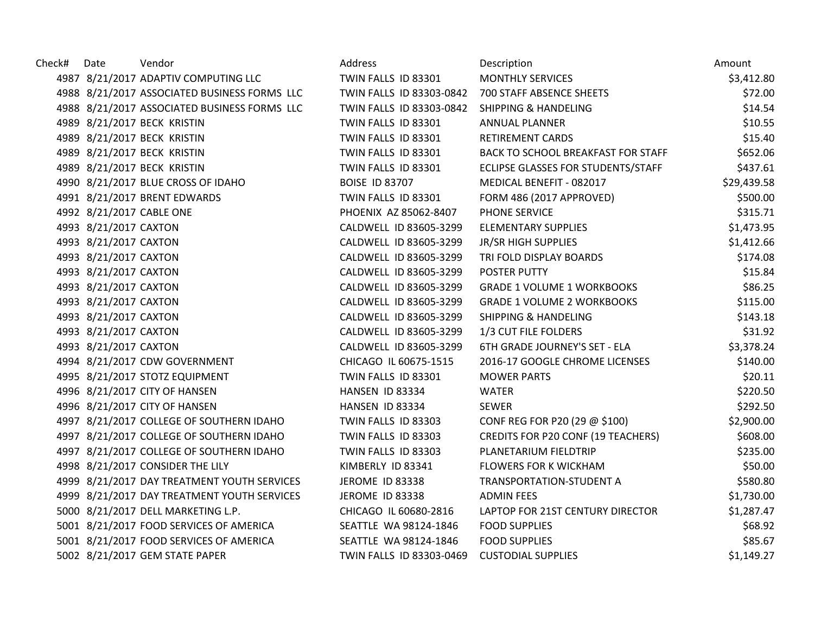| Check# | Date                  | Vendor                                       | Address                  | Description                        | Amount      |
|--------|-----------------------|----------------------------------------------|--------------------------|------------------------------------|-------------|
|        |                       | 4987 8/21/2017 ADAPTIV COMPUTING LLC         | TWIN FALLS ID 83301      | <b>MONTHLY SERVICES</b>            | \$3,412.80  |
|        |                       | 4988 8/21/2017 ASSOCIATED BUSINESS FORMS LLC | TWIN FALLS ID 83303-0842 | 700 STAFF ABSENCE SHEETS           | \$72.00     |
|        |                       | 4988 8/21/2017 ASSOCIATED BUSINESS FORMS LLC | TWIN FALLS ID 83303-0842 | <b>SHIPPING &amp; HANDELING</b>    | \$14.54     |
|        |                       | 4989 8/21/2017 BECK KRISTIN                  | TWIN FALLS ID 83301      | ANNUAL PLANNER                     | \$10.55     |
|        |                       | 4989 8/21/2017 BECK KRISTIN                  | TWIN FALLS ID 83301      | <b>RETIREMENT CARDS</b>            | \$15.40     |
|        |                       | 4989 8/21/2017 BECK KRISTIN                  | TWIN FALLS ID 83301      | BACK TO SCHOOL BREAKFAST FOR STAFF | \$652.06    |
|        |                       | 4989 8/21/2017 BECK KRISTIN                  | TWIN FALLS ID 83301      | ECLIPSE GLASSES FOR STUDENTS/STAFF | \$437.61    |
|        |                       | 4990 8/21/2017 BLUE CROSS OF IDAHO           | <b>BOISE ID 83707</b>    | MEDICAL BENEFIT - 082017           | \$29,439.58 |
|        |                       | 4991 8/21/2017 BRENT EDWARDS                 | TWIN FALLS ID 83301      | <b>FORM 486 (2017 APPROVED)</b>    | \$500.00    |
|        |                       | 4992 8/21/2017 CABLE ONE                     | PHOENIX AZ 85062-8407    | PHONE SERVICE                      | \$315.71    |
|        | 4993 8/21/2017 CAXTON |                                              | CALDWELL ID 83605-3299   | <b>ELEMENTARY SUPPLIES</b>         | \$1,473.95  |
|        | 4993 8/21/2017 CAXTON |                                              | CALDWELL ID 83605-3299   | JR/SR HIGH SUPPLIES                | \$1,412.66  |
|        | 4993 8/21/2017 CAXTON |                                              | CALDWELL ID 83605-3299   | TRI FOLD DISPLAY BOARDS            | \$174.08    |
|        | 4993 8/21/2017 CAXTON |                                              | CALDWELL ID 83605-3299   | POSTER PUTTY                       | \$15.84     |
|        | 4993 8/21/2017 CAXTON |                                              | CALDWELL ID 83605-3299   | <b>GRADE 1 VOLUME 1 WORKBOOKS</b>  | \$86.25     |
|        | 4993 8/21/2017 CAXTON |                                              | CALDWELL ID 83605-3299   | <b>GRADE 1 VOLUME 2 WORKBOOKS</b>  | \$115.00    |
|        | 4993 8/21/2017 CAXTON |                                              | CALDWELL ID 83605-3299   | <b>SHIPPING &amp; HANDELING</b>    | \$143.18    |
|        | 4993 8/21/2017 CAXTON |                                              | CALDWELL ID 83605-3299   | 1/3 CUT FILE FOLDERS               | \$31.92     |
|        | 4993 8/21/2017 CAXTON |                                              | CALDWELL ID 83605-3299   | 6TH GRADE JOURNEY'S SET - ELA      | \$3,378.24  |
|        |                       | 4994 8/21/2017 CDW GOVERNMENT                | CHICAGO IL 60675-1515    | 2016-17 GOOGLE CHROME LICENSES     | \$140.00    |
|        |                       | 4995 8/21/2017 STOTZ EQUIPMENT               | TWIN FALLS ID 83301      | <b>MOWER PARTS</b>                 | \$20.11     |
|        |                       | 4996 8/21/2017 CITY OF HANSEN                | HANSEN ID 83334          | <b>WATER</b>                       | \$220.50    |
|        |                       | 4996 8/21/2017 CITY OF HANSEN                | HANSEN ID 83334          | <b>SEWER</b>                       | \$292.50    |
|        |                       | 4997 8/21/2017 COLLEGE OF SOUTHERN IDAHO     | TWIN FALLS ID 83303      | CONF REG FOR P20 (29 @ \$100)      | \$2,900.00  |
|        |                       | 4997 8/21/2017 COLLEGE OF SOUTHERN IDAHO     | TWIN FALLS ID 83303      | CREDITS FOR P20 CONF (19 TEACHERS) | \$608.00    |
|        |                       | 4997 8/21/2017 COLLEGE OF SOUTHERN IDAHO     | TWIN FALLS ID 83303      | PLANETARIUM FIELDTRIP              | \$235.00    |
|        |                       | 4998 8/21/2017 CONSIDER THE LILY             | KIMBERLY ID 83341        | <b>FLOWERS FOR K WICKHAM</b>       | \$50.00     |
|        |                       | 4999 8/21/2017 DAY TREATMENT YOUTH SERVICES  | <b>JEROME ID 83338</b>   | TRANSPORTATION-STUDENT A           | \$580.80    |
|        |                       | 4999 8/21/2017 DAY TREATMENT YOUTH SERVICES  | <b>JEROME ID 83338</b>   | <b>ADMIN FEES</b>                  | \$1,730.00  |
|        |                       | 5000 8/21/2017 DELL MARKETING L.P.           | CHICAGO IL 60680-2816    | LAPTOP FOR 21ST CENTURY DIRECTOR   | \$1,287.47  |
|        |                       | 5001 8/21/2017 FOOD SERVICES OF AMERICA      | SEATTLE WA 98124-1846    | <b>FOOD SUPPLIES</b>               | \$68.92     |
|        |                       | 5001 8/21/2017 FOOD SERVICES OF AMERICA      | SEATTLE WA 98124-1846    | <b>FOOD SUPPLIES</b>               | \$85.67     |
|        |                       | 5002 8/21/2017 GEM STATE PAPER               | TWIN FALLS ID 83303-0469 | <b>CUSTODIAL SUPPLIES</b>          | \$1,149.27  |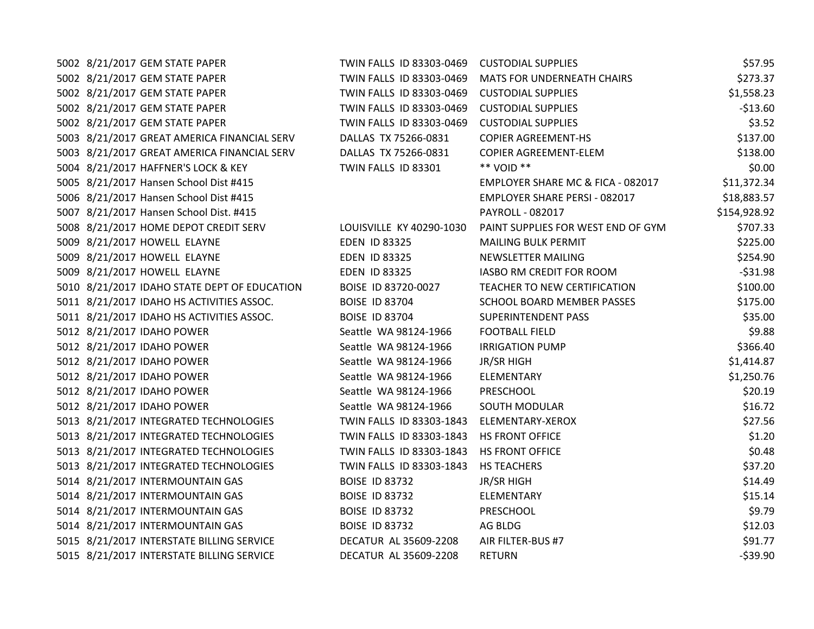| 5002 8/21/2017 GEM STATE PAPER               | TWIN FALLS ID 83303-0469 | <b>CUSTODIAL SUPPLIES</b>          | \$57.95      |
|----------------------------------------------|--------------------------|------------------------------------|--------------|
| 5002 8/21/2017 GEM STATE PAPER               | TWIN FALLS ID 83303-0469 | <b>MATS FOR UNDERNEATH CHAIRS</b>  | \$273.37     |
| 5002 8/21/2017 GEM STATE PAPER               | TWIN FALLS ID 83303-0469 | <b>CUSTODIAL SUPPLIES</b>          | \$1,558.23   |
| 5002 8/21/2017 GEM STATE PAPER               | TWIN FALLS ID 83303-0469 | <b>CUSTODIAL SUPPLIES</b>          | $-$13.60$    |
| 5002 8/21/2017 GEM STATE PAPER               | TWIN FALLS ID 83303-0469 | <b>CUSTODIAL SUPPLIES</b>          | \$3.52       |
| 5003 8/21/2017 GREAT AMERICA FINANCIAL SERV  | DALLAS TX 75266-0831     | <b>COPIER AGREEMENT-HS</b>         | \$137.00     |
| 5003 8/21/2017 GREAT AMERICA FINANCIAL SERV  | DALLAS TX 75266-0831     | <b>COPIER AGREEMENT-ELEM</b>       | \$138.00     |
| 5004 8/21/2017 HAFFNER'S LOCK & KEY          | TWIN FALLS ID 83301      | ** VOID **                         | \$0.00       |
| 5005 8/21/2017 Hansen School Dist #415       |                          | EMPLOYER SHARE MC & FICA - 082017  | \$11,372.34  |
| 5006 8/21/2017 Hansen School Dist #415       |                          | EMPLOYER SHARE PERSI - 082017      | \$18,883.57  |
| 5007 8/21/2017 Hansen School Dist. #415      |                          | PAYROLL - 082017                   | \$154,928.92 |
| 5008 8/21/2017 HOME DEPOT CREDIT SERV        | LOUISVILLE KY 40290-1030 | PAINT SUPPLIES FOR WEST END OF GYM | \$707.33     |
| 5009 8/21/2017 HOWELL ELAYNE                 | <b>EDEN ID 83325</b>     | <b>MAILING BULK PERMIT</b>         | \$225.00     |
| 5009 8/21/2017 HOWELL ELAYNE                 | <b>EDEN ID 83325</b>     | <b>NEWSLETTER MAILING</b>          | \$254.90     |
| 5009 8/21/2017 HOWELL ELAYNE                 | <b>EDEN ID 83325</b>     | IASBO RM CREDIT FOR ROOM           | $-531.98$    |
| 5010 8/21/2017 IDAHO STATE DEPT OF EDUCATION | BOISE ID 83720-0027      | TEACHER TO NEW CERTIFICATION       | \$100.00     |
| 5011 8/21/2017 IDAHO HS ACTIVITIES ASSOC.    | <b>BOISE ID 83704</b>    | SCHOOL BOARD MEMBER PASSES         | \$175.00     |
| 5011 8/21/2017 IDAHO HS ACTIVITIES ASSOC.    | <b>BOISE ID 83704</b>    | SUPERINTENDENT PASS                | \$35.00      |
| 5012 8/21/2017 IDAHO POWER                   | Seattle WA 98124-1966    | <b>FOOTBALL FIELD</b>              | \$9.88       |
| 5012 8/21/2017 IDAHO POWER                   | Seattle WA 98124-1966    | <b>IRRIGATION PUMP</b>             | \$366.40     |
| 5012 8/21/2017 IDAHO POWER                   | Seattle WA 98124-1966    | <b>JR/SR HIGH</b>                  | \$1,414.87   |
| 5012 8/21/2017 IDAHO POWER                   | Seattle WA 98124-1966    | ELEMENTARY                         | \$1,250.76   |
| 5012 8/21/2017 IDAHO POWER                   | Seattle WA 98124-1966    | PRESCHOOL                          | \$20.19      |
| 5012 8/21/2017 IDAHO POWER                   | Seattle WA 98124-1966    | <b>SOUTH MODULAR</b>               | \$16.72      |
| 5013 8/21/2017 INTEGRATED TECHNOLOGIES       | TWIN FALLS ID 83303-1843 | ELEMENTARY-XEROX                   | \$27.56      |
| 5013 8/21/2017 INTEGRATED TECHNOLOGIES       | TWIN FALLS ID 83303-1843 | HS FRONT OFFICE                    | \$1.20       |
| 5013 8/21/2017 INTEGRATED TECHNOLOGIES       | TWIN FALLS ID 83303-1843 | <b>HS FRONT OFFICE</b>             | \$0.48       |
| 5013 8/21/2017 INTEGRATED TECHNOLOGIES       | TWIN FALLS ID 83303-1843 | HS TEACHERS                        | \$37.20      |
| 5014 8/21/2017 INTERMOUNTAIN GAS             | <b>BOISE ID 83732</b>    | JR/SR HIGH                         | \$14.49      |
| 5014 8/21/2017 INTERMOUNTAIN GAS             | <b>BOISE ID 83732</b>    | ELEMENTARY                         | \$15.14      |
| 5014 8/21/2017 INTERMOUNTAIN GAS             | <b>BOISE ID 83732</b>    | PRESCHOOL                          | \$9.79       |
| 5014 8/21/2017 INTERMOUNTAIN GAS             | <b>BOISE ID 83732</b>    | AG BLDG                            | \$12.03      |
| 5015 8/21/2017 INTERSTATE BILLING SERVICE    | DECATUR AL 35609-2208    | AIR FILTER-BUS #7                  | \$91.77      |
| 5015 8/21/2017 INTERSTATE BILLING SERVICE    | DECATUR AL 35609-2208    | <b>RETURN</b>                      | $-539.90$    |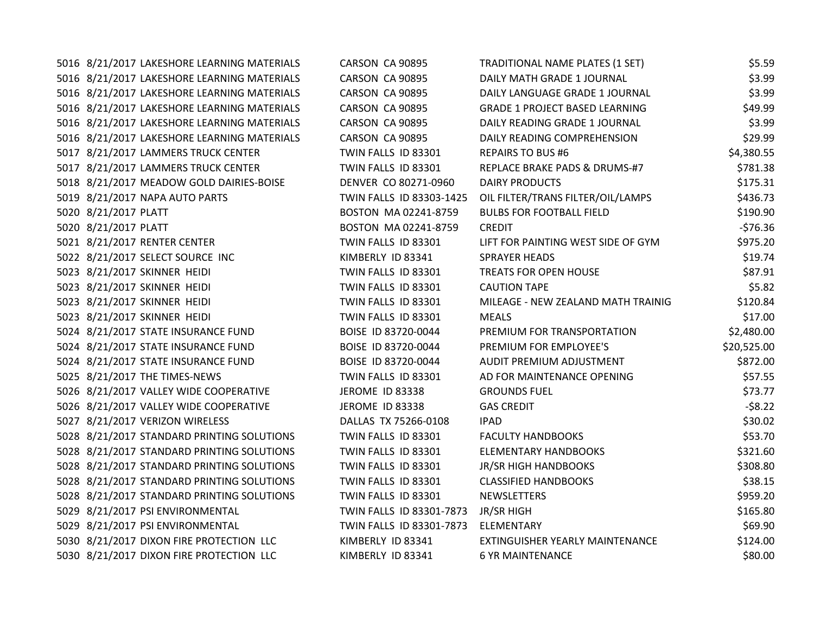5016 8/21/2017 LAKESHORE LEARNING MATERIALS CARSON CA 90895 5016 8/21/2017 LAKESHORE LEARNING MATERIALS CARSON CA 90895 5016 8/21/2017 LAKESHORE LEARNING MATERIALS CARSON CA 90895 5016 8/21/2017 LAKESHORE LEARNING MATERIALS CARSON CA 90895 5016 8/21/2017 LAKESHORE LEARNING MATERIALS CARSON CA 90895 5016 8/21/2017 LAKESHORE LEARNING MATERIALS CARSON CA 90895 5017 8/21/2017 LAMMERS TRUCK CENTER TWIN FALLS ID 83301 5017 8/21/2017 LAMMERS TRUCK CENTER TWIN FALLS ID 83301 5018 8/21/2017 MEADOW GOLD DAIRIES-BOISE DENVER CO 80271-0960 5019 8/21/2017 NAPA AUTO PARTS TWIN FALLS ID 83303-1425 5020 8/21/2017 PLATT BOSTON MA 02241-8759 5020 8/21/2017 PLATT 6020 805TON MA 02241-8759 5021 8/21/2017 RENTER CENTER TWIN FALLS ID 83301 5022 8/21/2017 SELECT SOURCE INC KIMBERLY ID 83341 5023 8/21/2017 SKINNER HEIDI TWIN FALLS ID 83301 5023 8/21/2017 SKINNER HEIDI TWIN FALLS ID 83301 5023 8/21/2017 SKINNER HEIDI TWIN FALLS ID 83301 5023 8/21/2017 SKINNER HEIDI TWIN FALLS ID 83301 5024 8/21/2017 STATE INSURANCE FUND BOISE ID 83720-0044 5024 8/21/2017 STATE INSURANCE FUND BOISE ID 83720-0044 5024 8/21/2017 STATE INSURANCE FUND BOISE ID 83720-0044 5025 8/21/2017 THE TIMES-NEWS TWIN FALLS ID 83301 5026 8/21/2017 VALLEY WIDE COOPERATIVE FULL STATE ROME ID 83338 5026 8/21/2017 VALLEY WIDE COOPERATIVE FROME ID 83338 5027 8/21/2017 VERIZON WIRELESS DALLAS TX 75266-0108 5028 8/21/2017 STANDARD PRINTING SOLUTIONS TWIN FALLS ID 83301 5028 8/21/2017 STANDARD PRINTING SOLUTIONS TWIN FALLS ID 83301 5028 8/21/2017 STANDARD PRINTING SOLUTIONS TWIN FALLS ID 83301 5028 8/21/2017 STANDARD PRINTING SOLUTIONS TWIN FALLS ID 83301 5028 8/21/2017 STANDARD PRINTING SOLUTIONS TWIN FALLS ID 83301 5029 8/21/2017 PSI ENVIRONMENTAL TWIN FALLS ID 83301-7873 5029 8/21/2017 PSI ENVIRONMENTAL TWIN FALLS ID 83301-7873 5030 8/21/2017 DIXON FIRE PROTECTION LLC KIMBERLY ID 83341 5030 8/21/2017 DIXON FIRE PROTECTION LLC KIMBERLY ID 83341

| TRADITIONAL NAME PLATES (1 SET)       | \$5.59      |
|---------------------------------------|-------------|
| DAILY MATH GRADF 1 JOURNAL            | \$3.99      |
| DAILY LANGUAGE GRADE 1 JOURNAL        | \$3.99      |
| <b>GRADE 1 PROJECT BASED LEARNING</b> | \$49.99     |
| DAILY READING GRADE 1 JOURNAL         | \$3.99      |
| DAILY READING COMPREHENSION           | \$29.99     |
| <b>REPAIRS TO BUS #6</b>              | \$4,380.55  |
| REPLACE BRAKE PADS & DRUMS-#7         | \$781.38    |
| DAIRY PRODUCTS                        | \$175.31    |
| OIL FILTER/TRANS FILTER/OIL/LAMPS     | \$436.73    |
| <b>BULBS FOR FOOTBALL FIELD</b>       | \$190.90    |
| CREDIT                                | $-576.36$   |
| LIFT FOR PAINTING WEST SIDE OF GYM    | \$975.20    |
| <b>SPRAYER HEADS</b>                  | \$19.74     |
| <b>TREATS FOR OPEN HOUSE</b>          | \$87.91     |
| <b>CAUTION TAPE</b>                   | \$5.82      |
| MILEAGE - NEW ZEALAND MATH TRAINIG    | \$120.84    |
| <b>MEALS</b>                          | \$17.00     |
| PREMIUM FOR TRANSPORTATION            | \$2,480.00  |
| <b>PREMIUM FOR EMPLOYEE'S</b>         | \$20,525.00 |
| AUDIT PREMIUM ADJUSTMENT              | \$872.00    |
| AD FOR MAINTENANCE OPENING            | \$57.55     |
| <b>GROUNDS FUEL</b>                   | \$73.77     |
| <b>GAS CREDIT</b>                     | $-58.22$    |
| <b>IPAD</b>                           | \$30.02     |
| <b>FACULTY HANDBOOKS</b>              | \$53.70     |
| <b>ELEMENTARY HANDBOOKS</b>           | \$321.60    |
| <b>JR/SR HIGH HANDBOOKS</b>           | \$308.80    |
| <b>CLASSIFIED HANDBOOKS</b>           | \$38.15     |
| <b>NEWSLETTERS</b>                    | \$959.20    |
| <b>JR/SR HIGH</b>                     | \$165.80    |
| <b>ELEMENTARY</b>                     | \$69.90     |
| EXTINGUISHER YEARLY MAINTENANCE       | \$124.00    |
| <b>6 YR MAINTENANCE</b>               | \$80.00     |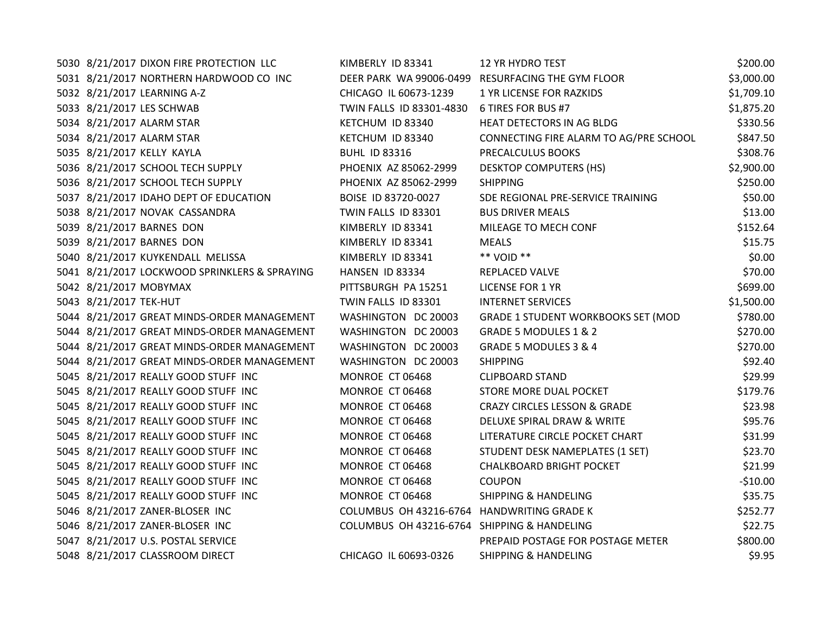8/21/2017 DIXON FIRE PROTECTION LLC KIMBERLY ID 83341 12 YR HYDRO TEST \$200.00 8/21/2017 NORTHERN HARDWOOD CO INC DEER PARK WA 99006-0499 RESURFACING THE GYM FLOOR \$3,000.00 8/21/2017 LEARNING A-Z CHICAGO IL 60673-1239 1 YR LICENSE FOR RAZKIDS \$1,709.10 8/21/2017 LES SCHWAB TWIN FALLS ID 83301-4830 6 TIRES FOR BUS #7 \$1,875.20 8/21/2017 ALARM STAR KETCHUM ID 83340 HEAT DETECTORS IN AG BLDG \$330.56 8/21/2017 ALARM STAR KETCHUM ID 83340 CONNECTING FIRE ALARM TO AG/PRE SCHOOL \$847.50 8/21/2017 KELLY KAYLA BUHL ID 83316 PRECALCULUS BOOKS \$308.76 8/21/2017 SCHOOL TECH SUPPLY PHOENIX AZ 85062-2999 DESKTOP COMPUTERS (HS) \$2,900.00 8/21/2017 SCHOOL TECH SUPPLY PHOENIX AZ 85062-2999 SHIPPING \$250.00 8/21/2017 IDAHO DEPT OF EDUCATION BOISE ID 83720-0027 SDE REGIONAL PRE-SERVICE TRAINING \$50.00 8/21/2017 NOVAK CASSANDRA TWIN FALLS ID 83301 BUS DRIVER MEALS \$13.00 5039 8/21/2017 BARNES DON **KIMBERLY ID 83341** MILEAGE TO MECH CONF \$152.64 8/21/2017 BARNES DON KIMBERLY ID 83341 MEALS \$15.75 8/21/2017 KUYKENDALL MELISSA KIMBERLY ID 83341 \*\* VOID \*\* \$0.00 8/21/2017 LOCKWOOD SPRINKLERS & SPRAYING HANSEN ID 83334 REPLACED VALVE \$70.00 8/21/2017 MOBYMAX PITTSBURGH PA 15251 LICENSE FOR 1 YR \$699.00 8/21/2017 TEK-HUT TWIN FALLS ID 83301 INTERNET SERVICES \$1,500.00 8/21/2017 GREAT MINDS-ORDER MANAGEMENT WASHINGTON DC 20003 GRADE 1 STUDENT WORKBOOKS SET (MOD \$780.00 8/21/2017 GREAT MINDS-ORDER MANAGEMENT WASHINGTON DC 20003 GRADE 5 MODULES 1 & 2 \$270.00 8/21/2017 GREAT MINDS-ORDER MANAGEMENT WASHINGTON DC 20003 GRADE 5 MODULES 3 & 4 \$270.00 8/21/2017 GREAT MINDS-ORDER MANAGEMENT WASHINGTON DC 20003 SHIPPING \$92.40 8/21/2017 REALLY GOOD STUFF INC MONROE CT 06468 CLIPBOARD STAND \$29.99 5045 8/21/2017 REALLY GOOD STUFF INC MONROE CT 06468 STORE MORE DUAL POCKET STORE S179.76 8/21/2017 REALLY GOOD STUFF INC MONROE CT 06468 CRAZY CIRCLES LESSON & GRADE \$23.98 5045 8/21/2017 REALLY GOOD STUFF INC MONROE CT 06468 DELUXE SPIRAL DRAW & WRITE \$95.76 8/21/2017 REALLY GOOD STUFF INC MONROE CT 06468 LITERATURE CIRCLE POCKET CHART \$31.99 8/21/2017 REALLY GOOD STUFF INC MONROE CT 06468 STUDENT DESK NAMEPLATES (1 SET) \$23.70 8/21/2017 REALLY GOOD STUFF INC MONROE CT 06468 CHALKBOARD BRIGHT POCKET \$21.99 5045 8/21/2017 REALLY GOOD STUFF INC THE MONROE CT 06468 COUPON - S10.00 - \$10.00 5045 8/21/2017 REALLY GOOD STUFF INC MONROE CT 06468 SHIPPING & HANDELING \$35.75 8/21/2017 ZANER-BLOSER INC COLUMBUS OH 43216-6764 HANDWRITING GRADE K \$252.77 8/21/2017 ZANER-BLOSER INC COLUMBUS OH 43216-6764 SHIPPING & HANDELING \$22.75 8/21/2017 U.S. POSTAL SERVICE PREPAID POSTAGE FOR POSTAGE METER \$800.00 8/21/2017 CLASSROOM DIRECT CHICAGO IL 60693-0326 SHIPPING & HANDELING \$9.95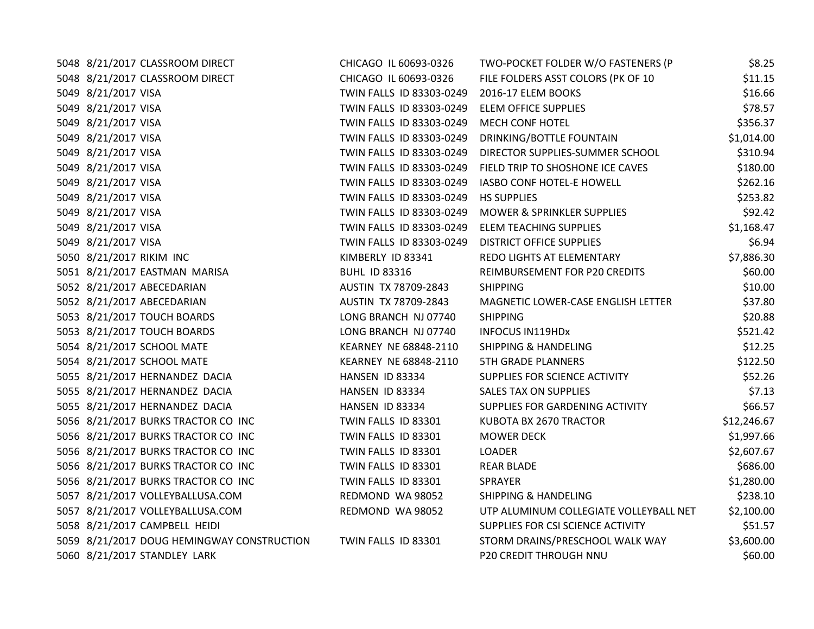| 5048 8/21/2017 CLASSROOM DIRECT            | CHICAGO IL 60693-0326    | TWO-POCKET FOLDER W/O FASTENERS (P     | \$8.25      |
|--------------------------------------------|--------------------------|----------------------------------------|-------------|
| 5048 8/21/2017 CLASSROOM DIRECT            | CHICAGO IL 60693-0326    | FILE FOLDERS ASST COLORS (PK OF 10     | \$11.15     |
| 5049 8/21/2017 VISA                        | TWIN FALLS ID 83303-0249 | 2016-17 ELEM BOOKS                     | \$16.66     |
| 5049 8/21/2017 VISA                        | TWIN FALLS ID 83303-0249 | <b>ELEM OFFICE SUPPLIES</b>            | \$78.57     |
| 5049 8/21/2017 VISA                        | TWIN FALLS ID 83303-0249 | MECH CONF HOTEL                        | \$356.37    |
| 5049 8/21/2017 VISA                        | TWIN FALLS ID 83303-0249 | DRINKING/BOTTLE FOUNTAIN               | \$1,014.00  |
| 5049 8/21/2017 VISA                        | TWIN FALLS ID 83303-0249 | DIRECTOR SUPPLIES-SUMMER SCHOOL        | \$310.94    |
| 5049 8/21/2017 VISA                        | TWIN FALLS ID 83303-0249 | FIELD TRIP TO SHOSHONE ICE CAVES       | \$180.00    |
| 5049 8/21/2017 VISA                        | TWIN FALLS ID 83303-0249 | <b>IASBO CONF HOTEL-E HOWELL</b>       | \$262.16    |
| 5049 8/21/2017 VISA                        | TWIN FALLS ID 83303-0249 | <b>HS SUPPLIES</b>                     | \$253.82    |
| 5049 8/21/2017 VISA                        | TWIN FALLS ID 83303-0249 | <b>MOWER &amp; SPRINKLER SUPPLIES</b>  | \$92.42     |
| 5049 8/21/2017 VISA                        | TWIN FALLS ID 83303-0249 | <b>ELEM TEACHING SUPPLIES</b>          | \$1,168.47  |
| 5049 8/21/2017 VISA                        | TWIN FALLS ID 83303-0249 | <b>DISTRICT OFFICE SUPPLIES</b>        | \$6.94      |
| 5050 8/21/2017 RIKIM INC                   | KIMBERLY ID 83341        | REDO LIGHTS AT ELEMENTARY              | \$7,886.30  |
| 5051 8/21/2017 EASTMAN MARISA              | <b>BUHL ID 83316</b>     | REIMBURSEMENT FOR P20 CREDITS          | \$60.00     |
| 5052 8/21/2017 ABECEDARIAN                 | AUSTIN TX 78709-2843     | <b>SHIPPING</b>                        | \$10.00     |
| 5052 8/21/2017 ABECEDARIAN                 | AUSTIN TX 78709-2843     | MAGNETIC LOWER-CASE ENGLISH LETTER     | \$37.80     |
| 5053 8/21/2017 TOUCH BOARDS                | LONG BRANCH NJ 07740     | <b>SHIPPING</b>                        | \$20.88     |
| 5053 8/21/2017 TOUCH BOARDS                | LONG BRANCH NJ 07740     | <b>INFOCUS IN119HDx</b>                | \$521.42    |
| 5054 8/21/2017 SCHOOL MATE                 | KEARNEY NE 68848-2110    | <b>SHIPPING &amp; HANDELING</b>        | \$12.25     |
| 5054 8/21/2017 SCHOOL MATE                 | KEARNEY NE 68848-2110    | <b>5TH GRADE PLANNERS</b>              | \$122.50    |
| 5055 8/21/2017 HERNANDEZ DACIA             | HANSEN ID 83334          | SUPPLIES FOR SCIENCE ACTIVITY          | \$52.26     |
| 5055 8/21/2017 HERNANDEZ DACIA             | HANSEN ID 83334          | SALES TAX ON SUPPLIES                  | \$7.13      |
| 5055 8/21/2017 HERNANDEZ DACIA             | HANSEN ID 83334          | SUPPLIES FOR GARDENING ACTIVITY        | \$66.57     |
| 5056 8/21/2017 BURKS TRACTOR CO INC        | TWIN FALLS ID 83301      | KUBOTA BX 2670 TRACTOR                 | \$12,246.67 |
| 5056 8/21/2017 BURKS TRACTOR CO INC        | TWIN FALLS ID 83301      | <b>MOWER DECK</b>                      | \$1,997.66  |
| 5056 8/21/2017 BURKS TRACTOR CO INC        | TWIN FALLS ID 83301      | <b>LOADER</b>                          | \$2,607.67  |
| 5056 8/21/2017 BURKS TRACTOR CO INC        | TWIN FALLS ID 83301      | <b>REAR BLADE</b>                      | \$686.00    |
| 5056 8/21/2017 BURKS TRACTOR CO INC        | TWIN FALLS ID 83301      | SPRAYER                                | \$1,280.00  |
| 5057 8/21/2017 VOLLEYBALLUSA.COM           | REDMOND WA 98052         | <b>SHIPPING &amp; HANDELING</b>        | \$238.10    |
| 5057 8/21/2017 VOLLEYBALLUSA.COM           | REDMOND WA 98052         | UTP ALUMINUM COLLEGIATE VOLLEYBALL NET | \$2,100.00  |
| 5058 8/21/2017 CAMPBELL HEIDI              |                          | SUPPLIES FOR CSI SCIENCE ACTIVITY      | \$51.57     |
| 5059 8/21/2017 DOUG HEMINGWAY CONSTRUCTION | TWIN FALLS ID 83301      | STORM DRAINS/PRESCHOOL WALK WAY        | \$3,600.00  |
| 5060 8/21/2017 STANDLEY LARK               |                          | P20 CREDIT THROUGH NNU                 | \$60.00     |